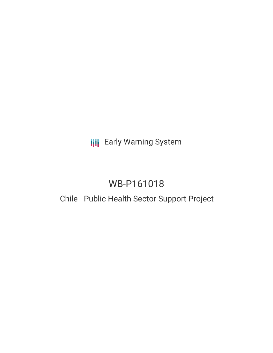## **III** Early Warning System

# WB-P161018

### Chile - Public Health Sector Support Project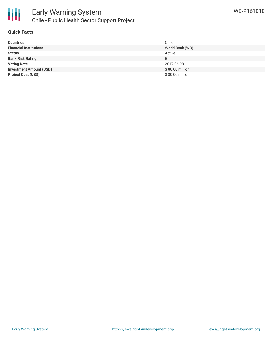

#### **Quick Facts**

| <b>Countries</b>               | Chile            |
|--------------------------------|------------------|
| <b>Financial Institutions</b>  | World Bank (WB)  |
| <b>Status</b>                  | Active           |
| <b>Bank Risk Rating</b>        | B                |
| <b>Voting Date</b>             | 2017-06-08       |
| <b>Investment Amount (USD)</b> | $$80.00$ million |
| <b>Project Cost (USD)</b>      | \$80.00 million  |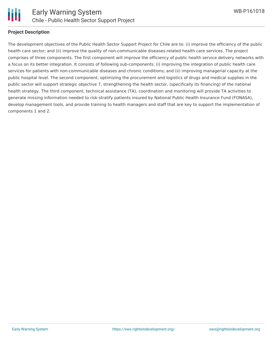

#### **Project Description**

The development objectives of the Public Health Sector Support Project for Chile are to: (i) improve the efficiency of the public health care sector; and (ii) improve the quality of non-communicable diseases-related health care services. The project comprises of three components. The first component will improve the efficiency of public health service delivery networks with a focus on its better integration. It consists of following sub-components: (i) improving the integration of public health care services for patients with non-communicable diseases and chronic conditions; and (ii) improving managerial capacity at the public hospital level. The second component, optimizing the procurement and logistics of drugs and medical supplies in the public sector will support strategic objective 7, strengthening the health sector, (specifically its financing) of the national health strategy. The third component, technical assistance (TA), coordination and monitoring will provide TA activities to generate missing information needed to risk-stratify patients insured by National Public Health Insurance Fund (FONASA), develop management tools, and provide training to health managers and staff that are key to support the implementation of components 1 and 2.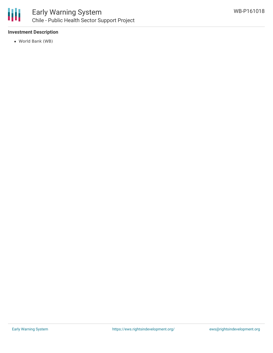

#### **Investment Description**

World Bank (WB)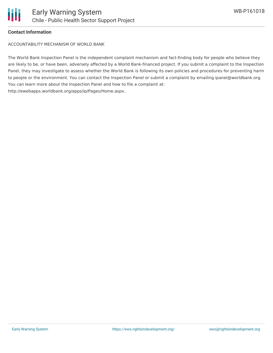

#### **Contact Information**

ACCOUNTABILITY MECHANISM OF WORLD BANK

The World Bank Inspection Panel is the independent complaint mechanism and fact-finding body for people who believe they are likely to be, or have been, adversely affected by a World Bank-financed project. If you submit a complaint to the Inspection Panel, they may investigate to assess whether the World Bank is following its own policies and procedures for preventing harm to people or the environment. You can contact the Inspection Panel or submit a complaint by emailing ipanel@worldbank.org. You can learn more about the Inspection Panel and how to file a complaint at: http://ewebapps.worldbank.org/apps/ip/Pages/Home.aspx.